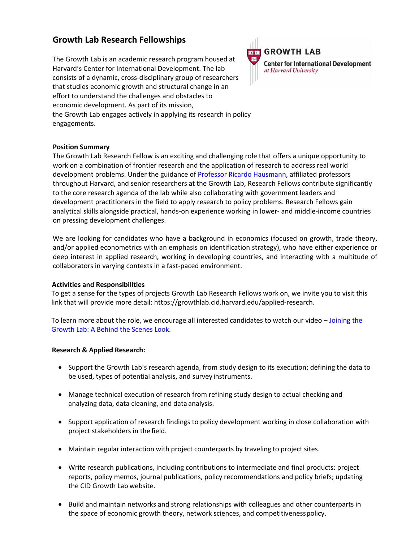# **Growth Lab Research Fellowships**

The Growth Lab is an academic research program housed at Harvard's Center for International Development. The lab consists of a dynamic, cross-disciplinary group of researchers that studies economic growth and structural change in an effort to understand the challenges and obstacles to economic development. As part of its mission, the Growth Lab engages actively in applying its research in policy engagements.



## **GROWTH LAB**

**Center for International Development** at Harvard University

#### **Position Summary**

The Growth Lab Research Fellow is an exciting and challenging role that offers a unique opportunity to work on a combination of frontier research and the application of research to address real world development problems. Under the guidance of [Professor Ricardo](https://www.hks.harvard.edu/faculty/ricardo-hausmann) Hausmann, affiliated professors throughout Harvard, and senior researchers at the Growth Lab, Research Fellows contribute significantly to the core research agenda of the lab while also collaborating with government leaders and development practitioners in the field to apply research to policy problems. Research Fellows gain analytical skills alongside practical, hands-on experience working in lower- and middle-income countries on pressing development challenges.

We are looking for candidates who have a background in economics (focused on growth, trade theory, and/or applied econometrics with an emphasis on identification strategy), who have either experience or deep interest in applied research, working in developing countries, and interacting with a multitude of collaborators in varying contexts in a fast-paced environment.

#### **Activities and Responsibilities**

To get a sense for the types of projects Growth Lab Research Fellows work on, we invite you to visit this link that will provide more detail: https://growthlab.cid.harvard.edu/applied-research.

To learn more about the role, we encourage all interested candidates to watch our video – [Joining the](https://youtu.be/WU9C6Vx30m0)  [Growth Lab: A Behind the Scenes Look.](https://youtu.be/WU9C6Vx30m0) 

### **Research & Applied Research:**

- Support the Growth Lab's research agenda, from study design to its execution; defining the data to be used, types of potential analysis, and survey instruments.
- Manage technical execution of research from refining study design to actual checking and analyzing data, data cleaning, and data analysis.
- Support application of research findings to policy development working in close collaboration with project stakeholders in the field.
- Maintain regular interaction with project counterparts by traveling to project sites.
- Write research publications, including contributions to intermediate and final products: project reports, policy memos, journal publications, policy recommendations and policy briefs; updating the CID Growth Lab website.
- Build and maintain networks and strong relationships with colleagues and other counterparts in the space of economic growth theory, network sciences, and competitiveness policy.